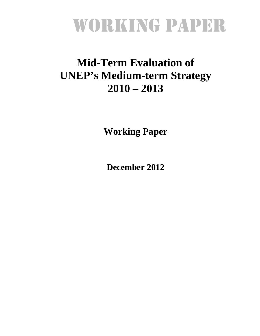# WORKING PAPER

# **Mid-Term Evaluation of UNEP's Medium-term Strategy 2010 – 2013**

**Working Paper** 

**December 2012**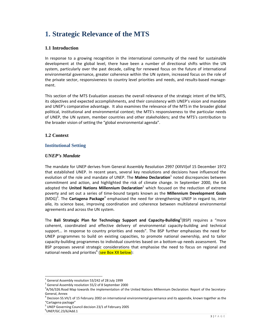# **1. Strategic Relevance of the MTS**

#### **1.1 Introduction**

In response to a growing recognition in the international community of the need for sustainable development at the global level, there have been a number of directional shifts within the UN system, particularly over the past decade, calling for renewed focus on the future of international environmental governance, greater coherence within the UN system, increased focus on the role of the private sector, responsiveness to country level priorities and needs, and results-based management.

This section of the MTS Evaluation assesses the overall relevance of the strategic intent of the MTS, its objectives and expected accomplishments, and their consistency with UNEP's vision and mandate and UNEP's comparative advantage. It also examines the relevance of the MTS in the broader global political, institutional and environmental context; the MTS's responsiveness to the particular needs of UNEP, the UN system, member countries and other stakeholders; and the MTS's contribution to the broader vision of setting the "global environmental agenda".

#### **1.2 Context**

#### **Institutional Setting**

#### *UNEP's Mandate*

The mandate for UNEP derives from General Assembly Resolution 2997 (XXVII)of 15 December 1972 that established UNEP. In recent years, several key resolutions and decisions have influenced the evolution of the role and mandate of UNEP. The **Malmo Declaration**<sup>1</sup> noted discrepancies between commitment and action, and highlighted the risk of climate change. In September 2000, the GA adopted the **United Nations Millennium Declaration**<sup>2</sup> which focused on the reduction of extreme poverty and set out a series of time‐bound targets known as the **Millennium Development Goals** (MDG)<sup>3</sup> . The **Cartagena Package**<sup>4</sup> emphasised the need for strengthening UNEP in regard to, *inter alia*, its science base, improving coordination and coherence between multilateral environmental agreements and across the UN system.

The **Bali Strategic Plan for Technology Support and Capacity‐Building**<sup>5</sup> (BSP) requires a "more coherent, coordinated and effective delivery of environmental capacity-building and technical support... in response to country priorities and needs". The BSP further emphasises the need for UNEP programmes to build on existing capacities, to promote national ownership, and to tailor capacity‐building programmes to individual countries based on a bottom‐up needs assessment. The BSP proposes several strategic considerations that emphasise the need to focus on regional and national needs and priorities<sup>6</sup> (see Box XX below):

 $^1$  General Assembly resolution 53/242 of 28 July 1999<br> $^2$  General Assembly resolution 55/2 of 8 September 2000

A/56/326.Road Map towards the implementation of the United Nations Millennium Declaration: Report of the Secretary‐

General, Annex<br><sup>4</sup> Decision SS.VII/1 of 15 February 2002 on international environmental governance and its appendix, known together as the

<sup>&</sup>quot;Cartagena package"<br> $^5$  UNEP Governing Council decision 23/1 of February 2005

 $6$ UNEP/GC.23/6/Add.1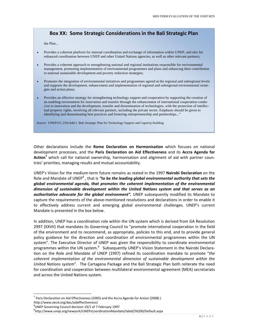#### **Box XX: Some Strategic Considerations in the Bali Strategic Plan**

the Plan...

- Provides a coherent platform for internal coordination and exchange of information within UNEP, and also for enhanced coordination between UNEP and other United Nations agencies, as well as other relevant partners;
- Provides a coherent approach to strengthening national and regional institutions responsible for environmental management, promoting implementation of environmental programmes and plans and enhancing their contribution to national sustainable development and poverty reduction strategies;
- Promotes the integration of environmental initiatives and programmes agreed at the regional and subregional levels and supports the development, enhancement and implementation of regional and subregional environmental strategies and action plans;
- Provides an effective strategy for strengthening technology support and cooperation by supporting the creation of an enabling environment for innovation and transfer through the enhancement of international cooperation conducive to innovation and the development, transfer and dissemination of technologies, with the protection of intellectual property rights, involving all relevant partners, including the private sector. Emphasis should be given to identifying and disseminating best practices and fostering entrepreneurship and partnerships..."

Source: UNEP/GC.23/6/Add.1 -Bali Strategic Plan for Technology Support and Capacity-building

Other declarations include the **Rome Declaration on Harmonisation** which focuses on national development processes, and the **Paris Declaration on Aid Effectiveness** and its **Accra Agenda for Action<sup>7</sup>** which call for national ownership, harmonisation and alignment of aid with partner coun‐ tries' priorities, managing results and mutual accountability.

UNEP's Vision for the medium‐term future remains as stated in the 1997 **Nairobi Declaration** on the Role and Mandate of UNEP<sup>8</sup> , that is *"to be the leading global environmental authority that sets the global environmental agenda, that promotes the coherent implementation of the environmental dimension of sustainable development within the United Nations system and that serves as an authoritative advocate for the global environment".* UNEP subsequently modified its Mandate to capture the requirements of the above‐mentioned resolutions and declarations in order to enable it to effectively address current and emerging global environmental challenges. UNEP's current Mandate is presented in the box below.

In addition, UNEP has a coordination role within the UN system which is derived from GA Resolution 2997 (XXVII) that mandates its Governing Council to "promote international cooperation in the field of the environment and to recommend, as appropriate, policies to this end, and to provide general policy guidance for the direction and coordination of environmental programmes within the UN system". The Executive Director of UNEP was given the responsibility to coordinate environmental programmes within the UN system.<sup>9</sup> Subsequently UNEP's Vision Statement in the Nairobi Declaration on the Role and Mandate of UNEP (1997) refined its coordination mandate to promote "*the coherent implementation of the environmental dimension of sustainable development within the United Nations system*". The Cartagena Package and the Bali Strategic Plan both reiterate the need for coordination and cooperation between multilateral environmental agreement (MEA) secretariats and across the United Nations system.

 $^7$  Paris Declaration on Aid Effectiveness (2005) and the Accra Agenda for Action (2008) ( http://www.oecd.org/dac/aideffectiveness)

<sup>&</sup>lt;sup>8</sup>UNEP Governing Council decision 19/1 of 7 February 1997<br><sup>9</sup>http://www.upep.org/pour/ork/UNERsCoordinationMand

http://www.unep.org/newyork/UNEPsCoordinationMandate/tabid/56200/Default.aspx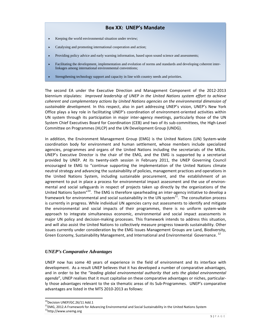#### **Box XX: UNEP's Mandate**

- $\triangleright$  Keeping the world environmental situation under review;
- Catalysing and promoting international cooperation and action;
- Providing policy advice and early warning information, based upon sound science and assessments;
- Facilitating the development, implementation and evolution of norms and standards and developing coherent interlinkages among international environmental conventions;
- Strengthening technology support and capacity in line with country needs and priorities.

The second EA under the Executive Direction and Management Component of the 2012‐2013 biennium stipulates: *Improved leadership of UNEP in the United Nations system effort to achieve coherent and complementary actions by United Nations agencies on the environmental dimension of sustainable development.* In this respect, also in part addressing UNEP's vision, UNEP's New York Office plays a key role in facilitating UNEP's coordination of environment-oriented activities within UN system through its participation in major inter‐agency meetings, particularly those of the UN System Chief Executives Board for Coordination (CEB) and two of its sub‐committees, the High‐Level Committee on Programmes (HLCP) and the UN Development Group (UNDG).

In addition, the Environment Management Group (EMG) is the United Nations (UN) System‐wide coordination body for environment and human settlement, whose members include specialized agencies, programmes and organs of the United Nations including the secretariats of the MEAs. UNEP's Executive Director is the chair of the EMG, and the EMG is supported by a secretariat provided by UNEP. At its twenty‐sixth session in February 2011, the UNEP Governing Council encouraged te EMG to "continue supporting the implementation of the United Nations climate neutral strategy and advancing the sustainability of policies, management practices and operations in the United Nations System, including sustainable procurement, and the establishment of an agreement to put in place a process for environmental impact assessment and the use of environmental and social safeguards in respect of projects taken up directly by the organizations of the United Nations System<sup>"10</sup>. The EMG is therefore spearheading an inter-agency initiative to develop a framework for environmental and social sustainability in the UN system<sup>11</sup>. The consultation process is currently in progress. While individual UN agencies carry out assessments to identify and mitigate the environmental and social impacts of their programmes, there is no uniform system‐wide approach to integrate simultaneous economic, environmental and social impact assessments in major UN policy and decision-making processes. This framework intends to address this situation, and will also assist the United Nations to collectively measure progress towards sustainability. Other issues currently under consideration by the EMG Issues Management Groups are Land, Biodiversity, Green Economy, Sustainability Management, and International and Environmental Governance.<sup>12</sup>

#### *UNEP's Comparative Advantages*

UNEP now has some 40 years of experience in the field of environment and its interface with development. As a result UNEP believes that it has developed a number of comparative advantages, and in order to be the "*leading global environmental authority that sets the global environmental agenda*", UNEP realises that it must capitalise on these comparative advantages or niches, particular‐ ly those advantages relevant to the six thematic areas of its Sub‐Programmes. UNEP's comparative advantages are listed in the MTS 2010‐2013 as follows:

<sup>&</sup>lt;sup>10</sup>Decision UNEP/GC.26/11 Add.1<br><sup>11</sup>EMG, 2012.A Framework for Advancing Environmental and Social Sustainability in the United Nations System <sup>12</sup>http://www.unemg.org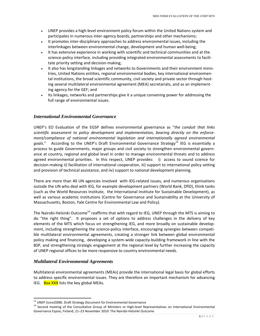- UNEP provides a high‐level environment policy forum within the United Nations system and participates in numerous inter‐agency boards, partnerships and other mechanisms;
- It promotes inter‐disciplinary approaches to address environmental issues, including the interlinkages between environmental change, development and human well‐being;
- It has extensive experience in working with scientific and technical communities and at the science-policy interface, including providing integrated environmental assessments to facilitate priority setting and decision‐making;
- It also has longstanding linkages and networks to Governments and their environment minis‐ tries, United Nations entities, regional environmental bodies, key international environmen‐ tal institutions, the broad scientific community, civil society and private sector through hosting several multilateral environmental agreement (MEA) secretariats, and as an implementing agency for the GEF; and
- Its linkages, networks and partnerships give it a unique convening power for addressing the full range of environmental issues.

#### *International Environmental Governance*

UNEP's EO Evaluation of the EGSP defines environmental governance as "*the conduit that links scientific assessment to policy development and implementation, bearing directly on the enforce‐ ment/compliance of national environmental legislation and internationally agreed environmental* goals." According to the UNEP's Draft Environmental Governance Strategy<sup>13</sup> IEG is essentially a process to guide Governments, major groups and civil society to strengthen environmental govern‐ ance at country, regional and global level in order to manage environmental threats and to address agreed environmental priorities. In this respect, UNEP provides: i) access to sound science for decision‐making ii) facilitation of international cooperation, iii) support to international policy setting and provision of technical assistance, and iiv) support to national development planning.

There are more than 40 UN agencies involved with IEG‐related issues, and numerous organisations outside the UN who deal with IEG, for example development partners (World Bank, DfID), think tanks (such as the World Resources Institute, the International Institute for Sustainable Development), as well as various academic institutions (Centre for Governance and Sustainability at the University of Massachusetts, Boston, Yale Centre for Environmental Law and Policy).

The Nairobi-Helsinki Outcome<sup>14</sup> reaffirms that with regard to IEG, UNEP through the MTS is aiming to do "the right thing". It proposes a set of options to address challenges in the delivery of key elements of the MTS which focus on strengthening IEG, and more broadly on sustainable develop‐ ment, including strengthening the science-policy interface, encouraging synergies between compatible multilateral environmental agreements, creating a stronger link between global environmental policy making and financing, developing a system‐wide capacity‐building framework in line with the BSP, and strengthening strategic engagement at the regional level by further increasing the capacity of UNEP regional offices to be more responsive to country environmental needs.

#### *Multilateral Environmental Agreements*

Multilateral environmental agreements (MEAs) provide the international legal basis for global efforts to address specific environmental issues. They are therefore an important mechanism for advancing IEG. **Box XXX** lists the key global MEAs.

<sup>&</sup>lt;sup>13</sup> UNEP (June2008). Draft Strategy Document for Environmental Governance

<sup>&</sup>lt;sup>14</sup> Second meeting of the Consultative Group of Ministers or High-level Representatives on International Environmental Governance Espoo, Finland, 21–23 November 2010: The Nairobi‐Helsinki Outcome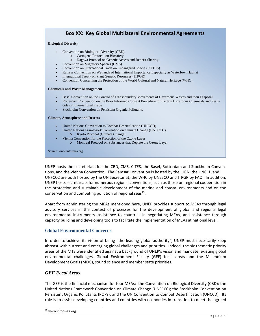#### **Box XX: Key Global Multilateral Environmental Agreements**

#### **Biological Diversity**

- Convention on Biological Diversity (CBD)
	- o Cartagena Protocol on Biosafety
	- o Nagoya Protocol on Genetic Access and Benefit Sharing
- Convention on Migratory Species (CMS)
- Convention on International Trade on Endangered Species (CITES)
- Ramsar Convention on Wetlands of International Importance Especially as Waterfowl Habitat
- International Treaty on Plant Genetic Resources (ITPGR)
- Convention Concerning the Protection of the World Cultural and Natural Heritage (WHC)

#### **Chemicals and Waste Management**

- Basel Convention on the Control of Transboundary Movements of Hazardous Wastes and their Disposal
- Rotterdam Convention on the Prior Informed Consent Procedure for Certain Hazardous Chemicals and Pesticides in International Trade
- Stockholm Convention on Persistent Organic Pollutants

#### **Climate, Atmosphere and Deserts**

- United Nations Convention to Combat Desertification (UNCCD)
- United Nations Framework Convention on Climate Change (UNFCCC)
	- o Kyoto Protocol (Climate Change)
	- Vienna Convention for the Protection of the Ozone Layer
		- o Montreal Protocol on Substances that Deplete the Ozone Layer

Source: www.informea.org

UNEP hosts the secretariats for the CBD, CMS, CITES, the Basel, Rotterdam and Stockholm Conven‐ tions, and the Vienna Convention. The Ramsar Convention is hosted by the IUCN, the UNCCD and UNFCCC are both hosted by the UN Secretariat, the WHC by UNESCO and ITPGR by FAO. In addition, UNEP hosts secretariats for numerous regional conventions, such as those on regional cooperation in the protection and sustainable development of the marine and coastal environments and on the conservation and combating pollution of regional seas<sup>15</sup>.

Apart from administering the MEAs mentioned here, UNEP provides support to MEAs through legal advisory services in the context of processes for the development of global and regional legal environmental instruments, assistance to countries in negotiating MEAs, and assistance through capacity building and developing tools to facilitate the implementation of MEAs at national level.

#### **Global Environmental Concerns**

In order to achieve its vision of being "the leading global authority", UNEP must necessarily keep abreast with current and emerging global challenges and priorities. Indeed, the six thematic priority areas of the MTS were identified against a background of UNEP's vision and mandate, existing global environmental challenges, Global Environment Facility (GEF) focal areas and the Millennium Development Goals (MDG), sound science and member state priorities.

#### *GEF Focal Areas*

The GEF is the financial mechanism for four MEAs: the Convention on Biological Diversity (CBD); the United Nations Framework Convention on Climate Change (UNFCCC); the Stockholm Convention on Persistent Organic Pollutants (POPs); and the UN Convention to Combat Desertification (UNCCD). Its role is to assist developing countries and countries with economies in transition to meet the agreed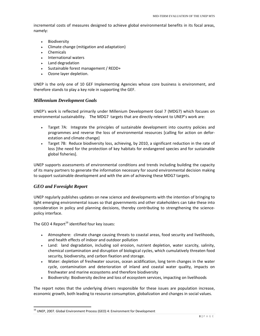incremental costs of measures designed to achieve global environmental benefits in its focal areas, namely:

- Biodiversity
- Climate change (mitigation and adaptation)
- Chemicals
- **International waters**
- Land degradation
- Sustainable forest management / REDD+
- ▶ Ozone layer depletion.

UNEP is the only one of 10 GEF Implementing Agencies whose core business is environment, and therefore stands to play a key role in supporting the GEF.

#### *Millennium Development Goals*

UNEP's work is reflected primarily under Millenium Development Goal 7 (MDG7) which focuses on environmental sustainability. The MDG7 targets that are directly relevant to UNEP's work are:

- Target 7A: Integrate the principles of sustainable development into country policies and programmes and reverse the loss of environmental resources [calling for action on defor‐ estation and climate change]
- Target 7B: Reduce biodiversity loss, achieving, by 2010, a significant reduction in the rate of loss [the need for the protection of key habitats for endangered species and for sustainable global fisheries].

UNEP supports assessments of environmental conditions and trends including building the capacity of its many partners to generate the information necessary for sound environmental decision making to support sustainable development and with the aim of achieving these MDG7 targets.

#### *GEO and Foresight Report*

UNEP regularly publishes updates on new science and developments with the intention of bringing to light emerging environmental issues so that governments and other stakeholders can take these into consideration in policy and planning decisions, thereby contributing to strengthening the science‐ policy interface.

The GEO 4 Report<sup>16</sup> identified four key issues:

- Atmosphere: climate change causing threats to coastal areas, food security and livelihoods, and health effects of indoor and outdoor pollution
- Land: land degradation, including soil erosion, nutrient depletion, water scarcity, salinity, chemical contamination and disruption of biological cycles, which cumulatively threaten food security, biodiversity, and carbon fixation and storage.
- Water: depletion of freshwater sources, ocean acidification, long term changes in the water cycle, contamination and deterioration of inland and coastal water quality, impacts on freshwater and marine ecosystems and therefore biodiversity
- Biodiversity: Biodiversity decline and loss of ecosystem services, impacting on livelihoods

The report notes that the underlying drivers responsible for these issues are population increase, economic growth, both leading to resource consumption, globalization and changes in social values.

 $^{16}$  UNEP, 2007. Global Environment Process (GEO) 4: Environment for Development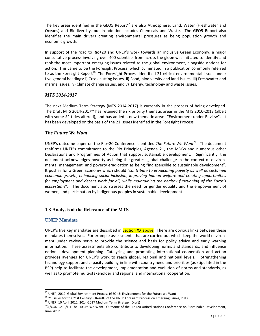The key areas identified in the GEO5 Report<sup>17</sup> are also Atmosphere, Land, Water (Freshwater and Oceans) and Biodiversity, but in addition includes Chemicals and Waste. The GEO5 Report also identifies the main drivers creating environmental pressures as being population growth and economic growth.

In support of the road to Rio+20 and UNEP's work towards an inclusive Green Economy, a major consultative process involving over 400 scientists from across the globe was initiated to identify and rank the most important emerging issues related to the global environment, alongside options for action. This came to be the Foresight Process, which culminated in a publication commonly referred to as the Foresight Report<sup>18</sup>. The Foresight Process identified 21 critical environmental issues under five general headings: i) Cross-cutting issues, ii) Food, biodiversity and land issues, iii) Freshwater and marine issues, iv) Climate change issues, and v) Energy, technology and waste issues.

#### *MTS 2014-2017*

The next Medium Term Strategy (MTS 2014‐2017) is currently in the process of being developed. The Draft MTS 2014-2017<sup>19</sup> has retained the six priority thematic areas in the MTS 2010-2013 (albeit with some SP titles altered), and has added a new thematic area: "Environment under Review". It has been developed on the basis of the 21 issues identified in the Foresight Process.

#### *The Future We Want*

UNEP's outcome paper on the Rio+20 Conference is entitled *The Future We Want*20. The document reaffirms UNEP's commitment to the Rio Principles, Agenda 21, the MDGs and numerous other Declarations and Programmes of Action that support sustainable development. Significantly, the document acknowledges poverty as being the greatest global challenge in the context of environ‐ mental management, and poverty eradication as being "indispensible to sustainable development". It pushes for a Green Economy which should "*contribute to eradicating poverty as well as sustained economic growth, enhancing social inclusion, improving human welfare and creating opportunities for employment and decent work for all, while maintaining the healthy functioning of the Earth's ecosystems*". The document also stresses the need for gender equality and the empowerment of women, and participation by indigenous peoples in sustainable development.

#### **1.3 Analysis of the Relevance of the MTS**

#### **UNEP Mandate**

UNEP's five key mandates are described in **Section XX above**. There are obvious links between these mandates themselves. For example assessments that are carried out which keep the world environment under review serve to provide the science and basis for policy advice and early warning information. These assessments also contribute to developing norms and standards, and influence national development planning. Catalyzing and promoting international cooperation and action provides avenues for UNEP's work to reach global, regional and national levels. Strengthening technology support and capacity building in line with country need and priorities (as stipulated in the BSP) help to facilitate the development, implementation and evolution of norms and standards, as well as to promote multi‐stakeholder and regional and international cooperation.

<sup>&</sup>lt;sup>17</sup> UNEP, 2012. Global Environment Process (GEO) 5: Environment for the Future we Want

<sup>&</sup>lt;sup>18</sup> 21 Issues for the 21st Century – Results of the UNEP Foresight Process on Emerging Issues, 2012<br><sup>19</sup> UNEP, 10 April 2012; 2014-2017 Medium Term Strategy (Draft)<br><sup>20</sup>A/CONF.216/L.1 The Future We Want. Outcome of the R June 2012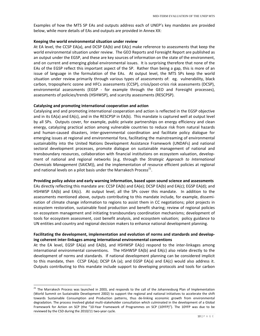Examples of how the MTS SP EAs and outputs address each of UNEP's key mandates are provided below, while more details of EAs and outputs are provided in Annex XX:

#### **Keeping the world environmental situation under review**

At EA level, the CCSP EA(a), and DCSP EA(b) and EA(c) make reference to assessments that keep the world environmental situation under review. The GEO Reports and Foresight Report are published as an output under the EGSP, and these are key sources of information on the state of the environment, and on current and emerging global environmental issues. It is surprising therefore that none of the EAs of the EGSP reflect this important aspect of the SP. Rather than being a gap, this is more of an issue of language in the formulation of the EAs. At output level, the MTS SPs keep the world situation under review primarily through various types of assessments of: eg. vulnerability, black carbon, tropospheric ozone and HFCs assessments (CCSP), crisis/post-crisis risk assessments (DCSP), environmental assessments (EGSP - for example through the GEO and Foresight processes), assessments of policies/trends (HSHWSP), and scarcity assessments (RESCPSP).

#### **Catalysing and promoting international cooperation and action**

Catalysing and and promoting international cooperation and action is reflected in the EGSP objective and in its EA(a) and EA(c), and in the RESCPSP in EA(b). This mandate is captured well at output level by all SPs. Outputs cover, for example, public private partnerships on energy efficiency and clean energy, catalyzing practical action among vulnerable countries to reduce risk from natural hazards and human‐caused disasters, inter‐governmental coordination and facilitate policy dialogue for emerging issues at regional and environmental fora, facilitating the mainstreaming of environmental sustainability into the United Nations Development Assistance Framework (UNDAFs) and national sectoral development processes, promote dialogue on sustainable management of national and transboundary resources, collaboration with financial institutions on ecosystem valuation, develop‐ ment of national and regional networks (e.g. through the *Strategic Approach to International Chemicals Management* (SAICM)), and the implementation of resource efficient policies at regional and national levels on a pilot basis under the Marrakech Process<sup>21</sup>.

**Providing policy advice and early warning information, based upon sound science and assessments** EAs directly reflecting this mandate are: CCSP EA(b) and EA(e); DCSP EA(b) and EA(c); EGSP EA(d); and HSHWSP EA(b) and EA(c). At output level, all the SPs cover this mandate. In addition to the assessments mentioned above, outputs contributing to this mandate include, for example, dissemi‐ nation of climate change information to regions to assist them in CC negotiations; pilot projects in ecosystem restoration, sustainable food production and benefit sharing; review of regional policies on ecosystem management and initiating transboundary coordination mechanisms; development of tools for ecosystem assessment, cost benefit analysis, and ecosystem valuation; policy guidance to UN entities and country and regional decision makers to enhance national development planning.

#### **Facilitating the development, implementation and evolution of norms and standards and develop‐ ing coherent inter‐linkages among international environmental conventions**

At the EA level, EGSP EA(a) and EA(b), and HSHWSP EA(c) respond to the inter‐linkages among international environmental conventions. The HSHWSP EA(b) and EA(c) also relate directly to the development of norms and standards. If national development planning can be considered implicit to this mandate, then CCSP EA(a); DCSP EA (a); and EGSP EA(a) and EA(c) would also address it. Outputs contributing to this mandate include support to developing protocols and tools for carbon

<sup>&</sup>lt;sup>21</sup> The Marrakech Process was launched in 2003, and responds to the call of the Johannesburg Plan of Implementation (World Summit on Sustainable Development 2002) to support the regional and national initiatives to accelerate the shift towards Sustainable Consumption and Production patterns, thus de‐linking economic growth from environmental degradation. The process involved global multi‐stakeholder consultation which culminated in the development of a Global Framework for Action on SCP (the "10‐Year Framework of Programmes on SCP (10YFP)"). The 10YFP was due to be reviewed by the CSD during the 2010/11 two‐year cycle.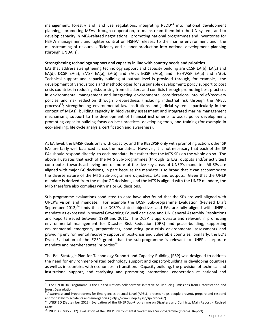management, forestry and land use regulations, integrating REDD $^{22}$  into national development planning; promoting MEAs through cooperation, to mainstream them into the UN system, and to develop capacity in MEA‐related negotiations; promoting national programmes and inventories for HSHW management and tighter control on HSHW releases to the marine environment and the mainstreaming of resource efficiency and cleaner production into national development planning (through UNDAFs).

#### **Strengthening technology support and capacity in line with country needs and priorities**

EAs that address strengthening technology support and capacity building are CCSP EA(b), EA(c) and EA(d); DCSP EA(a); EMSP EA(a), EA(b) and EA(c); EGSP EA(b); and HSHWSP EA(a) and EA(b). Technical support and capacity building at output level is provided through, for example, the development of various tools and methodologies for sustainable development; policy support to post crisis countries in reducing risks arising from disasters and conflicts through promoting best practices in environmental management and integrating environmental considerations into relief/recovery policies and risk reduction through preparedness (including industrial risk through the APELL process)<sup>23</sup>; strengthening environmental law institutions and judicial systems (particularly in the context of MEAs); building capacity in biodiversity assessment and integrated marine management mechanisms; support to the development of financial instruments to assist policy development; promoting capacity building focus on best practices, developing tools, and training (for example in eco-labelling, life cycle analysis, certification and awareness).

At EA level, the EMSP deals only with capacity, and the RESCPSP only with promoting action; other SP EAs are fairly well balanced across the mandates. However, it is not necessary that each of the SP EAs should respond directly to each mandate, but rather that the MTS SPs on the whole do so. The above illustrates that each of the MTS Sub‐programmes (through its EAs, outputs and/or activities) contributes towards achieving one or more of the five key areas of UNEP's mandate. All SPs are aligned with major GC decisions, in part because the mandate is so broad that it can accommodate the diverse nature of the MTS Sub‐programme objectives, EAs and outputs. Given that the UNEP mandate is derived from the major GC decisions, and the MTS is aligned with the UNEP mandate, the MTS therefore also complies with major GC decisions.

Sub‐programme evaluations conducted to date have also found that the SPs are well aligned with UNEP's vision and mandate. For example the DCSP Sub‐programme Evaluation (Revised Draft September 2012)<sup>24</sup> finds that the DCSP's stated objectives and EAs are fully aligned with UNEP's mandate as expressed in several Governing Council decisions and UN General Assembly Resolutions and Reports issued between 1989 and 2011. The DCSP is appropriate and relevant in promoting environmental management for Disaster Risk Reduction (DRR) and peace‐building, supporting environmental emergency preparedness, conducting post-crisis environmental assessments and providing environmental recovery support in post‐crisis and vulnerable countries. Similarly, the EO's Draft Evaluation of the EGSP grants that the sub-programme is relevant to UNEP's corporate mandate and member states' priorities<sup>25</sup>.

The Bali Strategic Plan for Technology Support and Capacity‐Building (BSP) was designed to address the need for environment‐related technology support and capacity‐building in developing countries as well as in countries with economies in transition. Capacity building, the provision of technical and institutional support, and catalysing and promoting international cooperation at national and

 $^{22}$  The UN-REDD Programme is the United Nations collaborative initiative on Reducing Emissions from Deforestation and forest Degradation<br><sup>23</sup>Awareness and Preparedness for Emergencies at Local Level (APELL) process helps people prevent, prepare and respond

appropriately to accidents and emergencies (http://www.unep.fr/scp/sp/process/)<br><sup>24</sup> UNEP EO (September 2012). Evaluation of the UNEP Sub-Programme on Disasters and Conflicts, Main Report - Revised

Draft.

<sup>&</sup>lt;sup>25</sup>UNEP EO (May 2012). Evaluation of the UNEP Environmental Governance Subprogramme (Internal Report)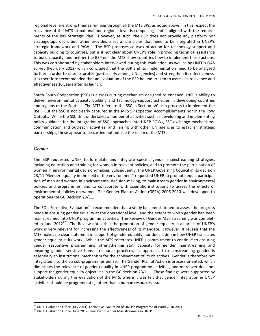regional level are strong themes running through all the MTS SPs, as noted above. In this respect the relevance of the MTS at national and regional level is compelling, and is aligned with the require‐ ments of the Bali Strategic Plan. However, as such, the BSP does not provide any platform nor strategic approach, but rather provides a set of principles that need to be integrated in UNEP's strategic framework and PoW. The BSP proposes courses of action for technology support and capacity building to countries, but is it not clear about UNEP's role in providing technical assistance to build capacity, and neither the BSP nor the MTS show countries how to implement these actions. This was corroborated by stakeholders interviewed during this evaluation, as well as by UNEP's QAS survey (February 2012) which concluded that the BSP and its implementation need to be analysed further in order to raise its profile (particularly among UN agencies) and strengthen its effectiveness. It is therefore recommended that an evaluation of the BSP be undertaken to assess its relevance and effectiveness 10 years after its launch.

South‐South Cooperation (SSC) is a cross‐cutting mechanism designed to enhance UNEP's ability to deliver environmental capacity building and technology‐support activities in developing countries and regions of the South . The MTS refers to the SSC in Section IVC as a process to implement the BSP. But the SSC is not clearly captured in the MTS SP Expected Accomplishments nor in the PoW Outputs. While the SSC Unit undertakes a number of activities such as developing and implementing policy guidance for the integration of SSC approaches into UNEP POWs, SSC exchange mechanisms, communication and outreach activities, and liaising with other UN agencies to establish strategic partnerships, these appear to be carried out outside the realm of the MTS.

#### *Gender*

The BSP requested UNEP to formulate and integrate specific gender mainstreaming strategies, including education and training for women in relevant policies, and to promote the participation of women in environmental decision-making. Subsequently, the UNEP Governing Council in its decision 23/11 "Gender equality in the field of the environment" requested UNEP to promote equal participation of men and women in environmental decision‐making, to mainstream gender in environmental policies and programmes, and to collaborate with scientific institutions to assess the effects of environmental policies on women. The Gender Plan of Action (GEPA) 2006‐2010 was developed to operationalize GC Decision 23/11.

The EO's Formative Evaluation<sup>26</sup> recommended that a study be commissioned to assess the progress made in ensuring gender equality at the operational level, and the extent to which gender had been mainstreamed into UNEP programme activities. The Review of Gender Mainstreaming was complet‐ ed in June 2012<sup>27</sup>. The Review notes that the promotion of gender equality in all areas of UNEP's work is very relevant for increasing the effectiveness of its mandate. However, it reveals that the MTS makes no clear statement in support of gender equality, nor does it define how UNEP translates gender equality in its work. While the MTS reiterates UNEP's commitment to continue to ensuring gender responsive programming, strengthening staff capacity for gender mainstreaming and ensuring gender sensitive human resource practices, its approach to mainstreaming gender is essentially an institutional mechanism for the achievement of its objectives. Gender is therefore not integrated into the six sub-programmes per se. The Gender Plan of Action is process-oriented, which diminishes the relevance of gender equality in UNEP programme activities, and moreover does not support the gender equality objectives in the GC decision 23/11. These findings were supported by stakeholders during this evaluation of the MTS, where it was felt that gender integration in UNEP activities should be programmatic, rather than a human resources issue.

<sup>&</sup>lt;sup>26</sup> UNEP Evaluation Office (July 2011). Formative Evaluation of UNEP's Programme of Work 2010‐2011<br><sup>27</sup> UNEP Evaluation Office (June 2012). Review of Gender Mainstreaming in UNEP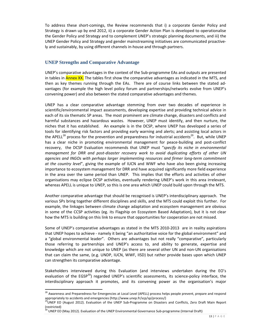To address these short‐comings, the Review recommends that i) a corporate Gender Policy and Strategy is drawn up by end 2012, ii) a corporate Gender Action Plan is developed to operationalise the Gender Policy and Strategy and to complement UNEP's strategic planning documents, and iii) the UNEP Gender Policy and Strategy and gender mainstreaming initiatives are communicated proactive‐ ly and sustainably, by using different channels in‐house and through partners.

#### **UNEP Strengths and Comparative Advantage**

UNEP's comparative advantages in the context of the Sub‐programme EAs and outputs are presented in tables in **Annex XX.** The tables first show the comparative advantages as indicated in the MTS, and then as key themes running through the EAs. There are of course links between the stated advantages (for example the high level policy forum and partnerships/networks evolve from UNEP's convening power) and also between the stated comparative advantages and themes.

UNEP has a clear comparative advantage stemming from over two decades of experience in scientific/environmental impact assessments, developing expertise and providing technical advice in each of its six thematic SP areas. The most prominent are climate change, disasters and conflicts and harmful substances and hazardous wastes. However, UNEP must identify, and then nurture, the niches that it has established. An example is in the DCSP, where UNEP has developed a series of tools for identifying risk factors and providing early warning and alerts; and assisting local actors in the APELL<sup>28</sup> process for the prevention and preparedness for industrial accidents<sup>29</sup>. But, while UNEP has a clear niche in promoting environmental management for peace-building and post-conflict recovery, the DCSP Evaluation recommends that UNEP must "*specify its niche in environmental management for DRR and post‐disaster recovery work to avoid duplicating efforts of other UN agencies and INGOs with perhaps larger implementing resources and firmer long‐term commitment at the country level*", giving the example of IUCN and WWF who have also been giving increasing importance to ecosystem management for DRR and have acquired significantly more field experience in the area over the same period than UNEP. This implies that the efforts and activities of other organisations may eclipse DCSP activities, eventually rendering UNEP's work in this area irrelevant, whereas APELL is unique to UNEP, so this is one area which UNEP could build upon through the MTS.

Another comparative advantage that should be recognised is UNEP's interdisciplinary approach. The various SPs bring together different disciplines and skills, and the MTS could exploit this further. For example, the linkages between climate change adaptation and ecosystem management are obvious in some of the CCSP activities (eg. its Flagship on Ecosystem Based Adaptation), but it is not clear how the MTS is building on this link to ensure that opportunities for cooperation are not missed.

Some of UNEP's comparative advantages as stated in the MTS 2010-2013 are in reality aspirations that UNEP hopes to achieve ‐ namely it being "an authoritative voice for the global environment" and a "global environmental leader". Others are advantages but not really "comparative", particularly those referring to partnerships and UNEP's access to, and ability to generate, expertise and knowledge which are not unique to UNEP (as there are several other UN and non‐UN organisations that can claim the same, (e.g. UNDP, IUCN, WWF, IISD) but rather provide bases upon which UNEP can strengthen its comparative advantage.

Stakeholders interviewed during this Evaluation (and interviews undertaken during the EO's evaluation of the EGSP<sup>30</sup>) regarded UNEP's scientific assessments, its science-policy interface, the interdisciplinary approach it promotes, and its convening power as the organisation's major

<sup>&</sup>lt;sup>28</sup> Awareness and Preparedness for Emergencies at Local Level (APELL) process helps people prevent, prepare and respond appropriately to accidents and emergencies (http://www.unep.fr/scp/sp/process/)<br><sup>29</sup>UNEP EO (August 2012). Evaluation of the UNEP Sub-Programme on Disasters and Conflicts, Zero Draft Main Report

<sup>(</sup>restricted)

<sup>30</sup> UNEP EO (May 2012). Evaluation of the UNEP Environmental Governance Sub‐programme (Internal Draft)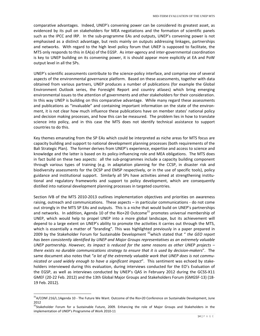comparative advantages. Indeed, UNEP's convening power can be considered its greatest asset, as evidenced by its pull on stakeholders for MEA negotiations and the formation of scientific panels such as the IPCC and IRP. In the sub-programme EAs and outputs, UNEP's convening power is not emphasised as a distinct advantage, but rests mainly on outputs addressing linkages, partnerships and networks. With regard to the high level policy forum that UNEP is supposed to facilitate, the MTS only responds to this in EA(a) of the EGSP. As inter‐agency and inter‐governmental coordination is key to UNEP building on its convening power, it is should appear more explicitly at EA and PoW output level in all the SPs.

UNEP's scientific assessments contribute to the science‐policy interface, and comprise one of several aspects of the environmental governance platform. Based on these assessments, together with data obtained from various partners, UNEP produces a number of publications (for example the Global Environment Outlook series, the Foresight Report and country atlases) which bring emerging environmental issues to the attention of governments and other stakeholders for their consideration. In this way UNEP is building on this comparative advantage. While many regard these assessments and publications as "invaluable" and containing important information on the state of the environ‐ ment, it is not clear how much influence these publications have on member states' national policy and decision making processes, and how this can be measured. The problem lies in how to translate science into policy, and in this case the MTS does not identify technical assistance to support countries to do this.

Key themes emanating from the SP EAs which could be interpreted as niche areas for MTS focus are capacity building and support to national development planning processes (both requirements of the Bali Strategic Plan). The former derives from UNEP's experience, expertise and access to science and knowledge and the latter is based on its policy-influencing role and MEA obligations. The MTS does in fact build on these two aspects: all the sub‐programmes include a capacity building component through various types of training (e.g. in adaptation planning for the CCSP, in disaster risk and biodiversity assessments for the DCSP and EMSP respectively, or in the use of specific tools), policy guidance and institutional support. Similarly all SPs have activities aimed at strengthening institutional and regulatory frameworks and support to policy development, which are consequently distilled into national development planning processes in targeted countries.

Section IVB of the MTS 2010‐2013 outlines implementation objectives and priorities on awareness raising, outreach and communications. These aspects – in particular communications ‐ do not come out strongly in the MTS SP EAs and outputs. This is a niche that would build on UNEP's partnerships and networks. In addition, Agenda 10 of the Rio+20 Outcome<sup>31</sup> promotes universal membership of UNEP, which would help to propel UNEP into a more global landscape, but its achievement will depend to a large extent on UNEP's ability to promote the activities it carries out through the MTS, which is essentially a matter of "branding". This was highlighted previously in a paper prepared in 2009 by the Stakeholder Forum for Sustainable Development 32which stated that " *the GEO report has been consistently identified by UNEP and Major Groups representatives as an extremely valuable UNEP partnership. However, its impact is reduced for the same reasons as other UNEP projects – there exists no durable communications strategy to ensure that it is used by decision‐makers*". The same document also notes that "*a lot of the extremely valuable work that UNEP does is not commu‐ nicated or used widely enough to have a significant impact*". This sentiment was echoed by stake‐ holders interviewed during this evaluation, during interviews conducted for the EO's Evaluation of the EGSP, as well as interviews conducted by UNEP's QAS in February 2012 during the GCSS‐X11 GMEF (20‐22 Feb. 2012) and the 13th Global Major Groups and Stakeholders Forum (GMGSF‐13) (18‐ 19 Feb. 2012).

 $31A/CONF.216/L.1A$ genda 10 - The Future We Want. Outcome of the Rio+20 Conference on Sustainable Development, June 2012

<sup>&</sup>lt;sup>32</sup>Stakeholder Forum for a Sustainable Future, 2009. Enhancing the role of Major Groups and Stakeholders in the implementation of UNEP's Programme of Work 2010‐11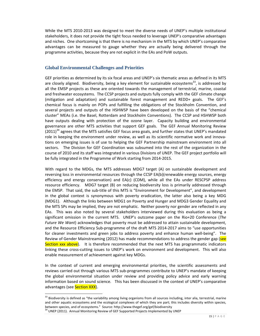While the MTS 2010-2013 was designed to meet the diverse needs of UNEP's multiple institutional stakeholders, it does not provide the tight focus needed to leverage UNEP's comparative advantages and niches. One shortcoming is that there is no mechanism in the MTS by which UNEP's comparative advantages can be measured to gauge whether they are actually being delivered through the programme activities, because they are not explicit in the EAs and PoW outputs.

#### **Global Environmental Challenges and Priorities**

GEF priorities as determined by its six focal areas and UNEP's six thematic areas as defined in its MTS are closely aligned. Biodiversity, being a key element for sustainable ecosystems<sup>33</sup>, is addressed by all the EMSP projects as these are oriented towards the management of terrestrial, marine, coastal and freshwater ecosystems. The CCSP projects and outputs fully comply with the GEF climate change (mitigation and adaptation) and sustainable forest management and REDD+ goals. The GEF's chemical focus is mainly on POPs and fulfilling the obligations of the Stockholm Convention, and several projects and outputs of the HSHWSP have been developed on the basis of the "chemical cluster" MEAs (i.e. the Basel, Rotterdam and Stockholm Conventions). The CCSP and HSHWSP both have outputs dealing with protection of the ozone layer. Capacity building and environmental governance are other MTS activities that support GEF goals. The GEF Annual Monitoring Review  $(2011)<sup>34</sup>$  agrees that the MTS satisfies GEF focus area goals, and further states that UNEP's mandated role in keeping the environment under review, as well as its scientific normative work and innovations on emerging issues is of use to helping the GEF Partnership mainstream environment into all sectors. The Division for GEF Coordination was subsumed into the rest of the organization in the course of 2010 and its staff was integrated in various Divisions of UNEP. The GEF project portfolio will be fully integrated in the Programme of Work starting from 2014‐2015.

With regard to the MDGs, the MTS addresses MDG7 target (A) on sustainable development and reversing loss in environmental resources through the CCSP EA(b)(renewable energy sources, energy efficiency and energy conservation) and EA(c) (CDM), while all the EAs under RESCPSP address resource efficiency. MDG7 target (B) on reducing biodiversity loss is primarily addressed through the EMSP. That said, the sub‐title of this MTS is "Environment for Development", and development in the global context is synonymous with poverty eradication, the latter also being a key MDG (MDG1). Although the links between MDG1 on Poverty and Hunger and MDG3 Gender Equality and the MTS SPs may be implied, they are not emphatic. Neither poverty nor gender are reflected in any EAs. This was also noted by several stakeholders interviewed during this evaluation as being a significant omission in the current MTS. UNEP's outcome paper on the Rio+20 Conference (*The Future We Want*) acknowledges that poverty must be addressed to attain sustainable development, and the Resource Efficiency Sub-programme of the draft MTS 2014-2017 aims to "use opportunities for cleaner investments and green jobs to address poverty and enhance human well-being". The Review of Gender Mainstreaming (2012) has made recommendations to address the gender gap (see Section xxx above). It is therefore recommended that the next MTS has programmatic indicators linking these cross‐cutting issues to UNEP's work on environment and development. This will also enable measurement of achievement against key MDGs.

In the context of current and emerging environmental priorities, the scientific assessments and reviews carried out through various MTS sub‐programmes contribute to UNEP's mandate of keeping the global environmental situation under review and providing policy advice and early warning information based on sound science. This has been discussed in the context of UNEP's comparative advantages (see Section XXX).

 $33$  Biodiversity is defined as "the variability among living organisms from all sources including, inter alia, terrestrial, marine and other aquatic ecosystems and the ecological complexes of which they are part; this includes diversity within species, between species, and of ecosystems." Source: http://www.thegef.org/gef/biodiversity 144 UNEP (2011). Annual Monitoring Review of GEF Supported Projects Implemented by UNEP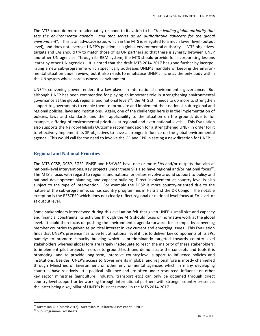The MTS could do more to adequately respond to its vision to be "*the leading global authority that sets the environmental agenda... and that serves as an authoritative advocate for the global environment*". This is an advocacy issue, which in the MTS is relegated to a much lower level (output level), and does not leverage UNEP's position as a global environmental authority. MTS objectives, targets and EAs should try to match those of its UN partners so that there is synergy between UNEP and other UN agencies. Through its RBM system, the MTS should provide for incorporating lessons learnt by other UN agencies. It is noted that the draft MTS 2014-2017 has gone further by incorporating a new sub-programme which specifically addresses UNEP's mandate of keeping the environmental situation under review, but it also needs to emphasise UNEP's niche as the only body within the UN system whose core business is environment.

UNEP's convening power renders it a key player in international environmental governance. But although UNEP has been commended for playing an important role in strengthening environmental governance at the global, regional and national levels<sup>35</sup>, the MTS still needs to do more to strengthen support to governments to enable them to formulate and implement their national, sub-regional and regional policies, laws and institutions. Again, one of the challenges here is in the implementation of policies, laws and standards, and their applicability to the situation on the ground, due to for example, differing of environmental priorities at regional and even national levels. This Evaluation also supports the Nairobi‐Helsinki Outcome recommendation for a strengthened UNEP in order for it to effectively implement its SP objectives to have a stronger influence on the global environmental agenda. This would call for the need to involve the GC and CPR in setting a new direction for UNEP.

#### **Regional and National Priorities**

The MTS CCSP, DCSP, EGSP, EMSP and HSHWSP have one or more EAs and/or outputs that aim at national-level interventions. Key projects under these SPs also have regional and/or national focus<sup>36</sup>. The MTS's focus with regard to regional and national priorities revolve around support to policy and national development planning, and capacity building. Direct involvement at country level is also subject to the type of intervention. For example the DCSP is more country-oriented due to the nature of the sub‐programme, so has country programmes in Haiti and the DR Congo. The notable exception is the RESCPSP which does not clearly reflect regional or national level focus at EA level, or at output level.

Some stakeholders interviewed during this evaluation felt that given UNEP's small size and capacity and financial constraints, its activities through the MTS should focus on normative work at the global level. It could then focus on pushing the environmental agenda forward, for example by convening member countries to galvanise political interest in key current and emerging issues. This Evaluation finds that UNEP's presence has to be felt at national level if it is to deliver key components of its SPs, namely: to promote capacity building which is predominantly targeted towards country level stakeholders whereas global fora are largely inadequate to reach the majority of these stakeholders; to implement pilot projects in order to ground‐truth and demonstrate the concepts and tools it is promoting; and to provide long‐term, intensive country‐level support to influence policies and institutions. Besides, UNEP's access to Governments in global and regional fora is mostly channelled through Ministries of Environment or other environmental agencies which in many developing countries have relatively little political influence and are often under‐resourced. Influence on other key sector ministries (agriculture, industry, transport etc.) can only be obtained through direct country‐level support or by working through international partners with stronger country presence, the latter being a key pillar of UNEP's business model in the MTS 2014‐2017.

<sup>&</sup>lt;sup>35</sup> Australian AID (March 2012). Australian Multilateral Assessment - UNEP<br><sup>36</sup> Sub-Programme Factsheets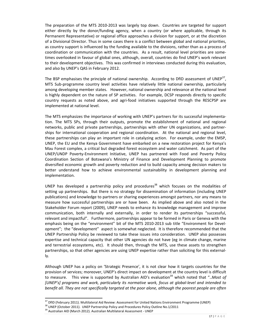The preparation of the MTS 2010‐2013 was largely top down. Countries are targeted for support either directly by the donor/funding agency, when a country (or where applicable, through its Permanent Representative) or regional office approaches a division for support, or at the discretion of a Divisional Director. Thus in some cases there is a conflict between global and national priorities, as country support is influenced by the funding available to the divisions, rather than as a process of coordination or communication with the countries. As a result, national level priorities are some‐ times overlooked in favour of global ones, although, overall, countries do find UNEP's work relevant to their development objectives. This was confirmed in interviews conducted during this evaluation, and also by UNEP's QAS in February 2012.

The BSP emphasises the principle of national ownership. According to DfID assessment of UNEP<sup>37</sup>, MTS Sub‐programme country level activities have relatively little national ownership, particularly among developing member states. However, national ownership and relevance at the national level is highly dependent on the nature of SP activities. For example, DCSP responds directly to specific country requests as noted above, and agri‐food initiatives supported through the RESCPSP are implemented at national level.

The MTS emphasizes the importance of working with UNEP's partners for its successful implementa‐ tion. The MTS SPs, through their outputs, promote the establishment of national and regional networks, public and private partnerships, partnerships with other UN organizations, and partner‐ ships for international cooperation and regional coordination. At the national and regional level, these partnerships can play an important role in catalyzing action. For example, under the EMSP, UNEP, the EU and the Kenya Government have embarked on a new restoration project for Kenya's Mau Forest complex, a critical but degraded forest ecosystem and water catchment. As part of the UNEP/UNDP Poverty‐Environment Initiative, UNEP has partnered with Food and Poverty Policy Coordination Section of Botswana's Ministry of Finance and Development Planning to promote diversified economic growth and poverty reduction and to build capacity among decision makers to better understand how to achieve environmental sustainability in development planning and implementation.

UNEP has developed a partnership policy and procedures<sup>38</sup> which focuses on the modalities of setting up partnerships. But there is no strategy for dissemination of information (including UNEP publications) and knowledge to partners or sharing experiences amongst partners, nor any means to measure how successful partnerships are or have been. As implied above and also noted in the Stakeholder Forum report (2009), UNEP needs to enhance its knowledge management and improve communication, both internally and externally, in order to render its partnerships "successful, relevant and impactful". Furthermore, partnerships appear to be formed in Paris or Geneva with the emphasis being on the "environment" bit of the MTS 2010-2013 sub title "Environment for Development"; the "development" aspect is somewhat neglected. It is therefore recommended that the UNEP Partnership Policy be reviewed to take these issues into consideration. UNEP also possesses expertise and technical capacity that other UN agencies do not have (eg in climate change, marine and terrestrial ecosystems, etc). It should then, through the MTS, use these assets to strengthen partnerships, so that other agencies are using UNEP expertise rather than soliciting for this externally.

Although UNEP has a policy on 'Strategic Presence', it is not clear how it targets countries for the provision of services; moreover, UNEP's direct impact on development at the country level is difficult to measure. This view is supported by Australian AID's evaluation<sup>39</sup> which noted that "..*Most of [UNEP's] programs and work, particularly its normative work, focus at global‐level and intended to benefit all. They are not specifically targeted at the poor alone, although the poorest people are often*

<sup>&</sup>lt;sup>37</sup> DfID (February 2011). Multilateral Aid Review: Assessment for United Nations Environment Programme (UNEP)<br><sup>38</sup> UNEP (October 2011). UNEP Partnership Policy and Procedures Policy Outline No.1/2011<br><sup>39</sup> Australian AID (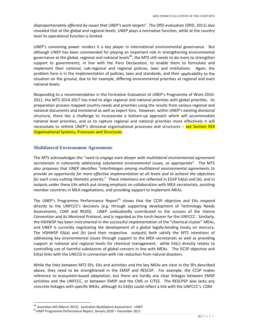*disproportionately affected by issues that UNEP's work targets*". The DfID evaluation (DfID, 2011) also revealed that at the global and regional levels, UNEP plays a normative function, while at the country level its operational function is limited.

UNEP's convening power renders it a key player in international environmental governance. But although UNEP has been commended for playing an important role in strengthening environmental governance at the global, regional and national levels<sup>40</sup>, the MTS still needs to do more to strengthen support to governments, in line with the Paris Declaration, to enable them to formulate and implement their national, sub-regional and regional policies, laws and institutions. Again, the problem here is in the implementation of policies, laws and standards, and their applicability to the situation on the ground, due to for example, differing environmental priorities at regional and even national levels.

Responding to a recommendation in the Formative Evaluation of UNEP's Programme of Work 2010‐ 2011, the MTS 2014‐2017 has tried to align regional and national priorities with global priorities. Its preparation process mapped country needs and priorities using the results from various regional and national documents and ministerial as well as expert fora. However, within UNEP's existing divisional structure, there lies a challenge to incorporate a bottom-up approach which will accommodate national level priorities, and so to capture regional and national priorities more effectively it will necessitate to rethink UNEP's divisional organisational processes and structures – see Section XXX Organisational Systems, Processes and Structures.

#### **Multilateral Environment Agreements**

The MTS acknowledges the "*need to engage even deeper with multilateral environmental agreement secretariats in coherently addressing substantive environmental issues, as appropriate*". The MTS also proposes that UNEP identifies "*interlinkages among multilateral environmental agreements to provide an opportunity for more effective implementation at all levels and to achieve the objectives for each cross‐cutting thematic priority*." These intentions are reflected in EGSP EA(a) and (b), and in outputs under these EAs which put strong emphasis on collaboration with MEA secretariats, assisting member countries in MEA negotiations, and providing support to implement MEAs.

The UNEP's Programme Performance Report $41$  shows that the CCSP objective and EAs respond directly to the UNFCCC's decisions (e.g. through supporting development of Technology Needs Assessments, CDM and REDD). UNEP undoubtedly contributed to the success of the Vienna Convention and its Montreal Protocol, and is regarded as the torch bearer for the UNFCCC. Similarly, the HSHWSP has been instrumental in the successful implementation of the "chemical cluster" MEAs, and UNEP is currently negotiating the development of a global legally‐binding treaty on mercury. The HSHWSP EA(a) and (b) (and their respective outputs) both satisfy the MTS intentions of addressing key environmental issues through support to the MEA secretariats as well as providing support at national and regional levels for chemical management, while EA(c) directly relates to controlling use of harmful substances of global concern in line with MEAs. The DCSP objective and EA(a) links with the UNCCD in connection with risk reduction from natural disasters.

While the links between MTS SPs, EAs and activities and the key MEAs are clear in the SPs described above, they need to be strengthened in the EMSP and RESCSP. For example, the CCSP makes reference to ecosystem-based adaptation, but there are hardly any clear linkages between EMSP activities and the UNFCCC, or between EMSP and the CMS or CITES. The RESCPSP also lacks any concrete linkages with specific MEAs, although its EA(b) could reflect a link with the UNFCCC's CDM.

<sup>&</sup>lt;sup>40</sup> Australian AID (March 2012). Australian Multilateral Assessment - UNEP<br><sup>41</sup>UNEP Programme Performance Report, January 2010 – December 2011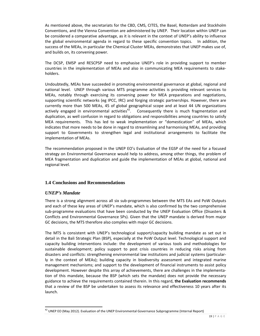As mentioned above, the secretariats for the CBD, CMS, CITES, the Basel, Rotterdam and Stockholm Conventions, and the Vienna Convention are administered by UNEP. Their location within UNEP can be considered a comparative advantage, as it is relevant in the context of UNEP's ability to influence the global environmental agenda in regard to these specific convention topics. In addition, the success of the MEAs, in particular the Chemical Cluster MEAs, demonstrates that UNEP makes use of, and builds on, its convening power.

The DCSP, EMSP and RESCPSP need to emphasise UNEP's role in providing support to member countries in the implementation of MEAs and also in communicating MEA requirements to stake‐ holders.

Undoubtedly, MEAs have succeeded in promoting environmental governance at global, regional and national level. UNEP through various MTS programme activities is providing relevant services to MEAs, notably through exercising its convening power for MEA preparations and negotiations, supporting scientific networks (eg IPCC, IRC) and forging strategic partnerships. However, there are currently more than 500 MEAs, 45 of global geographical scope and at least 44 UN organizations actively engaged in environmental activities<sup>42</sup>. Consequently there is much fragmentation and duplication, as well confusion in regard to obligations and responsibilities among countries to satisfy MEA requirements. This has led to weak implementation or "domestication" of MEAs, which indicates that more needs to be done in regard to streamlining and harmonising MEAs, and providing support to Governments to strengthen legal and institutional arrangements to facilitate the implementation of MEAs.

The recommendation proposed in the UNEP EO's Evaluation of the EGSP of the need for a focused strategy on Environmental Governance would help to address, among other things, the problem of MEA fragmentation and duplication and guide the implementation of MEAs at global, national and regional level.

#### **1.4 Conclusions and Recommendations**

#### *UNEP's Mandate*

There is a strong alignment across all six sub‐programmes between the MTS EAs and PoW Outputs and each of these key areas of UNEP's mandate, which is also confirmed by the two comprehensive sub‐programme evaluations that have been conducted by the UNEP Evaluation Office (Disasters & Conflicts and Environmental Governance SPs). Given that the UNEP mandate is derived from major GC decisions, the MTS therefore also complies with major GC decisions.

The MTS is consistent with UNEP's technological support/capacity building mandate as set out in detail in the Bali Strategic Plan (BSP), especially at the PoW Output level. Technological support and capacity building interventions include: the development of various tools and methodologies for sustainable development; policy support to post crisis countries in reducing risks arising from disasters and conflicts: strengthening environmental law institutions and judicial systems (particular‐ ly in the context of MEAs); building capacity in biodiversity assessment and integrated marine management mechanisms; and support to the development of financial instruments to assist policy development. However despite this array of achievements, there are challenges in the implementation of this mandate, because the BSP (which sets the mandate) does not provide the necessary guidance to achieve the requirements contained therein. In this regard, **the Evaluation recommends** that a review of the BSP be undertaken to assess its relevance and effectiveness 10 years after its launch.

  $^{42}$  UNEP EO (May 2012). Evaluation of the UNEP Environmental Governance Subprogramme (Internal Report)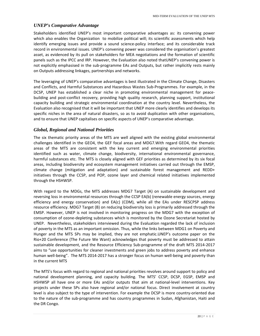#### *UNEP's Comparative Advantage*

Stakeholders identified UNEP's most important comparative advantages as: its convening power which also enables the Organization to mobilize political will; its scientific assessments which help identify emerging issues and provide a sound science‐policy interface; and its considerable track record in environmental issues. UNEP's convening power was considered the organisation's greatest asset, as evidenced by its pull on stakeholders for MEA negotiations and the formation of scientific panels such as the IPCC and IRP. However, the Evaluation also noted thatUNEP's convening power is not explicitly emphasised in the sub‐programme EAs and Outputs, but rather implicitly rests mainly on Outputs addressing linkages, partnerships and networks.

The leveraging of UNEP's comparative advantages is best illustrated in the Climate Change, Disasters and Conflicts, and Harmful Substances and Hazardous Wastes Sub‐Programmes. For example, in the DCSP, UNEP has established a clear niche in promoting environmental management for peacebuilding and post‐conflict recovery, providing high quality research, planning support, institutional capacity building and strategic environmental coordination at the country level. Nevertheless, the Evaluation also recognised that it will be important that UNEP more clearly identifies and develops its specific niches in the area of natural disasters, so as to avoid duplication with other organisations, and to ensure that UNEP capitalises on specific aspects of UNEP's comparative advantage.

#### *Global, Regional and National Priorities*

The six thematic priority areas of the MTS are well aligned with the existing global environmental challenges identified in the GEO4, the GEF focal areas and MDG7.With regard GEO4, the thematic areas of the MTS are consistent with the key current and emerging environmental priorities identified such as water, climate change, biodiversity, international environmental governance, harmful substances etc. The MTS is closely aligned with GEF priorities as determined by its six focal areas, including biodiversity and ecosystem management initiatives carried out through the EMSP, climate change (mitigation and adaptation) and sustainable forest management and REDD+ initiatives through the CCSP, and POP, ozone layer and chemical related initiatives implemented through the HSHWSP.

With regard to the MDGs, the MTS addresses MDG7 Target (A) on sustainable development and reversing loss in environmental resources through the CCSP EA(b) (renewable energy sources, energy efficiency and energy conservation) and EA(c) (CDM), while all the EAs under RESCPSP address resource efficiency. MDG7 Target (B) on reducing biodiversity loss is primarily addressed through the EMSP. However, UNEP is not involved in monitoring progress on the MDG7 with the exception of consumption of ozone‐depleting substances which is monitored by the Ozone Secretariat hosted by UNEP. Nevertheless, stakeholders interviewed during the Evaluation regarded the lack of inclusion of poverty in the MTS as an important omission. Thus, while the links between MDG1 on Poverty and Hunger and the MTS SPs may be implied, they are not emphatic.UNEP's outcome paper on the Rio+20 Conference (The Future We Want) acknowledges that poverty must be addressed to attain sustainable development, and the Resource Efficiency Sub‐programme of the draft MTS 2014‐2017 aims to "use opportunities for cleaner investments and green jobs to address poverty and enhance human well‐being". The MTS 2014‐2017 has a stronger focus on human well‐being and poverty than in the current MTS

The MTS's focus with regard to regional and national priorities revolves around support to policy and national development planning, and capacity building. The MTS' CCSP, DCSP, EGSP, EMSP and HSHWSP all have one or more EAs and/or outputs that aim at national‐level interventions. Key projects under these SPs also have regional and/or national focus. Direct involvement at country level is also subject to the type of intervention. For example the DCSP is more country‐oriented due to the nature of the sub‐programme and has country programmes in Sudan, Afghanistan, Haiti and the DR Congo.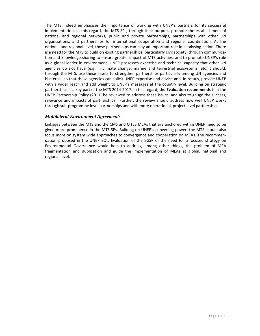The MTS indeed emphasizes the importance of working with UNEP's partners for its successful implementation. In this regard, the MTS SPs, through their outputs, promote the establishment of national and regional networks, public and private partnerships, partnerships with other UN organizations, and partnerships for international cooperation and regional coordination. At the national and regional level, these partnerships can play an important role in catalysing action. There is a need for the MTS to build on existing partnerships, particularly civil society, through communication and knowledge sharing to ensure greater impact of MTS activities, and to promote UNEP's role as a global leader in environment. UNEP possesses expertise and technical capacity that other UN agencies do not have (e.g. in climate change, marine and terrestrial ecosystems, etc).It should, through the MTS, use these assets to strengthen partnerships particularly among UN agencies and bilaterals, so that these agencies can solicit UNEP expertise and advice and, in return, provide UNEP with a wider reach and add weight to UNEP's messages at the country level. Building on strategic partnerships is a key part of the MTS 2014‐2017. In this regard, **the Evaluation recommends** that the UNEP Partnership Policy (2011) be reviewed to address these issues, and also to gauge the success, relevance and impacts of partnerships. Further, the review should address how well UNEP works through sub‐programme level partnerships and with more operational, project level partnerships.

#### *Multilateral Environment Agreements*

Linkages between the MTS and the CMS and CITES MEAs that are anchored within UNEP need to be given more prominence in the MTS SPs. Building on UNEP's convening power, the MTS should also focus more on system wide approaches to convergence and cooperation on MEAs. The recommen‐ dation proposed in the UNEP EO's Evaluation of the EGSP of the need for a focused strategy on Environmental Governance would help to address, among other things, the problem of MEA fragmentation and duplication and guide the implementation of MEAs at global, national and regional level.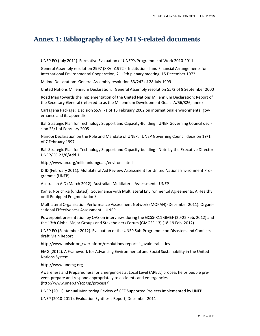## **Annex 1: Bibliography of key MTS-related documents**

UNEP EO (July 2011). Formative Evaluation of UNEP's Programme of Work 2010‐2011

General Assembly resolution 2997 (XXVII)1972 ‐ Institutional and Financial Arrangements for International Environmental Cooperation, 2112th plenary meeting, 15 December 1972

Malmo Declaration: General Assembly resolution 53/242 of 28 July 1999

United Nations Millennium Declaration: General Assembly resolution 55/2 of 8 September 2000

Road Map towards the implementation of the United Nations Millennium Declaration: Report of the Secretary‐General (referred to as the Millennium Development Goals: A/56/326, annex

Cartagena Package: Decision SS.VII/1 of 15 February 2002 on international environmental gov‐ ernance and its appendix

Bali Strategic Plan for Technology Support and Capacity‐Building : UNEP Governing Council deci‐ sion 23/1 of February 2005

Nairobi Declaration on the Role and Mandate of UNEP: UNEP Governing Council decision 19/1 of 7 February 1997

Bali Strategic Plan for Technology Support and Capacity-building - Note by the Executive Director: UNEP/GC.23/6/Add.1

http://www.un.org/millenniumgoals/environ.shtml

DfID (February 2011). Multilateral Aid Review: Assessment for United Nations Environment Pro‐ gramme (UNEP)

Australian AID (March 2012). Australian Multilateral Assessment ‐ UNEP

Kanie, Norichika (undated). Governance with Multilateral Environmental Agreements: A Healthy or Ill‐Equipped Fragmentation?

Multilateral Organisation Performance Assessment Network (MOPAN) (December 2011). Organi‐ sational Effectiveness Assessment – UNEP

Powerpoint presentation by QAS on interviews during the GCSS‐X11 GMEF (20‐22 Feb. 2012) and the 13th Global Major Groups and Stakeholders Forum (GMGSF‐13) (18‐19 Feb. 2012)

UNEP EO (September 2012). Evaluation of the UNEP Sub‐Programme on Disasters and Conflicts, draft Main Report

http://www.unisdr.org/we/inform/resolutions‐reports#gavulnerabilities

EMG (2012). A Framework for Advancing Environmental and Social Sustainability in the United Nations System

http://www.unemg.org

Awareness and Preparedness for Emergencies at Local Level (APELL) process helps people pre‐ vent, prepare and respond appropriately to accidents and emergencies (http://www.unep.fr/scp/sp/process/)

UNEP (2011). Annual Monitoring Review of GEF Supported Projects Implemented by UNEP

UNEP (2010‐2011). Evaluation Synthesis Report, December 2011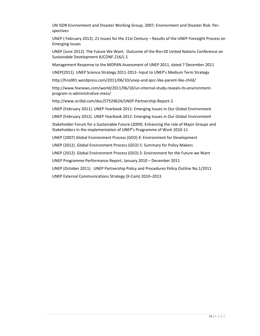UN ISDR Environment and Disaster Working Group, 2007; Environment and Disaster Risk: Per‐ spectives

UNEP ( February 2012). 21 Issues for the 21st Century – Results of the UNEP Foresight Process on Emerging Issues

UNEP (June 2012). The Future We Want. Outcome of the Rio+20 United Nations Conference on Sustainable Development A/CONF.216/L.1

Management Response to the MOPAN Assessment of UNEP 2011, dated 7 December 2011

UNEP(2011). UNEP Science Strategy 2011‐2013‐ Input to UNEP's Medium Term Strategy

http://hro001.wordpress.com/2011/06/10/unep-and-ipcc-like-parent-like-child/

http://www.foxnews.com/world/2011/06/10/un‐internal‐study‐reveals‐its‐environment‐ program‐is‐administrative‐mess/

http://www.scribd.com/doc/57529624/UNEP‐Partnership‐Report‐2

UNEP (February 2011). UNEP Yearbook 2011: Emerging Issues in Our Global Environment

UNEP (February 2012). UNEP Yearbook 2012: Emerging Issues in Our Global Environment

Stakeholder Forum for a Sustainable Future (2009). Enhancing the role of Major Groups and Stakeholders in the implementation of UNEP's Programme of Work 2010‐11

UNEP (2007) Global Environment Process (GEO) 4: Environment for Development

UNEP (2012). Global Environment Process (GEO) 5: Summary for Policy Makers

UNEP (2012). Global Environment Process (GEO) 5: Environment for the Future we Want

UNEP Programme Performance Report, January 2010 – December 2011

UNEP (October 2011). UNEP Partnership Policy and Procedures Policy Outline No.1/2011

UNEP External Communications Strategy (X‐Com) 2010–2013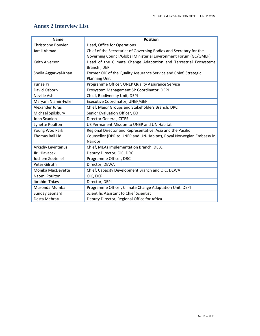### **Annex 2 Interview List**

| <b>Name</b>          | <b>Position</b>                                                     |
|----------------------|---------------------------------------------------------------------|
| Christophe Bouvier   | Head, Office for Operations                                         |
| Jamil Ahmad          | Chief of the Secretariat of Governing Bodies and Secretary for the  |
|                      | Governing Council/Global Ministerial Environment Forum (GC/GMEF)    |
| Keith Alverson       | Head of the Climate Change Adaptation and Terrestrial Ecosystems    |
|                      | Branch, DEPI                                                        |
| Sheila Aggarwal-Khan | Former OiC of the Quality Assurance Service and Chief, Strategic    |
|                      | <b>Planning Unit</b>                                                |
| Yunae Yi             | Programme Officer, UNEP Quality Assurance Service                   |
| David Osborn         | Ecosystem Management SP Coordinator, DEPI                           |
| Neville Ash          | Chief, Biodiversity Unit, DEPI                                      |
| Maryam Niamir-Fuller | Executive Coordinator, UNEP/GEF                                     |
| Alexander Juras      | Chief, Major Groups and Stakeholders Branch, DRC                    |
| Michael Spilsbury    | Senior Evaluation Officer, EO                                       |
| John Scanlon         | Director General, CITES                                             |
| Lynette Poulton      | US Permanent Mission to UNEP and UN Habitat                         |
| Young Woo Park       | Regional Director and Representative, Asia and the Pacific          |
| Thomas Ball Lid      | Counsellor (DPR to UNEP and UN-Habitat), Royal Norwegian Embassy in |
|                      | Nairobi                                                             |
| Arkadiy Levintanus   | Chief, MEAs Implementation Branch, DELC                             |
| Jiri Hlavacek        | Deputy Director, OiC, DRC                                           |
| Jochem Zoetelief     | Programme Officer, DRC                                              |
| Peter Gilruth        | Director, DEWA                                                      |
| Monika MacDevette    | Chief, Capacity Development Branch and OiC, DEWA                    |
| Naomi Poulton        | OiC, DCPI                                                           |
| Ibrahim Thiaw        | Director, DEPI                                                      |
| Musonda Mumba        | Programme Officer, Climate Change Adaptation Unit, DEPI             |
| Sunday Leonard       | Scientific Assistant to Chief Scientist                             |
| Desta Mebratu        | Deputy Director, Regional Office for Africa                         |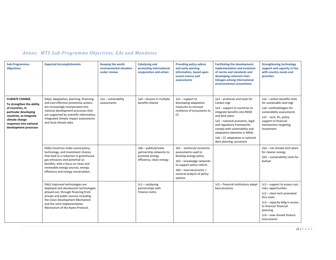| <b>Sub-Programmes</b><br><b>Objectives</b>                                                                                                                                                       | <b>Expected Accomplishments</b>                                                                                                                                                                                                                                              | <b>Keeping the world</b><br>environmental situation<br>under review | <b>Catalysing and</b><br>promoting international<br>cooperation and action                      | <b>Providing policy advice</b><br>and early warning<br>information, based upon<br>sound science and<br>assessments                                                                                  | <b>Facilitating the development,</b><br>implementation and evolution<br>of norms and standards and<br>developing coherent inter-<br>linkages among international<br>environmental conventions                                                                                                                               | <b>Strengthening technology</b><br>support and capacity in line<br>with country needs and<br>priorities                                                                                                              |
|--------------------------------------------------------------------------------------------------------------------------------------------------------------------------------------------------|------------------------------------------------------------------------------------------------------------------------------------------------------------------------------------------------------------------------------------------------------------------------------|---------------------------------------------------------------------|-------------------------------------------------------------------------------------------------|-----------------------------------------------------------------------------------------------------------------------------------------------------------------------------------------------------|-----------------------------------------------------------------------------------------------------------------------------------------------------------------------------------------------------------------------------------------------------------------------------------------------------------------------------|----------------------------------------------------------------------------------------------------------------------------------------------------------------------------------------------------------------------|
| <b>CLIMATE CHANGE</b><br>To strengthen the ability<br>of countries, in<br>particular developing<br>countries, to integrate<br>climate change<br>responses into national<br>development processes | EA(a): Adaptation, planning, financing<br>and cost-effective preventive actions<br>are increasingly incorporated into<br>national development processes that<br>are supported by scientific information,<br>integrated climate impact assessments<br>and local climate data. | 1a1 - vulnerability<br>assessments                                  | 1a4 - lessons in multiple<br>benefits shared                                                    | $1a1$ – support to<br>developing adaptation<br>measures to increase<br>resilience of ecosystems to<br>CC                                                                                            | 1a2 - protocols and tools for<br>Carbon mgt<br>1a3 - support to countries to<br>integrate benefits into REDD<br>and devt plans<br>1a5 - national economic, legal<br>and regulatory frameworks<br>comply with vulnerabiltiy and<br>adaptation elements in MEAs<br>1a6 - CC adaptation in national<br>devt planning processes | 1a2 - carbon benefits tools<br>for sustainable land mgt<br>1a4-methodologies for<br>vulnerability assessments<br>1a7 - tech, fin, policy<br>support to financial<br>mechanisms targeting<br>investment               |
|                                                                                                                                                                                                  | EA(b) Countries make sound policy,<br>technology, and investment choices<br>that lead to a reduction in greenhouse<br>gas emissions and potential co-<br>benefits, with a focus on clean and<br>renewable energy sources, energy<br>efficiency and energy conservation.      |                                                                     | $1b6$ – public/private<br>partnership networks to<br>promote energy<br>efficiency, clean energy | 1b1 - technical/economic<br>assessments used to<br>develop energy policy<br>1b3 - knowledge networks<br>to support policy reform<br>1b4 - macroeconomic /<br>sectoral analysis of policy<br>options |                                                                                                                                                                                                                                                                                                                             | 1b2 - nat climate tech plans<br>for cleaner energy<br>1b5 - sustainability tools for<br>biofuel                                                                                                                      |
|                                                                                                                                                                                                  | EA(c) Improved technologies are<br>deployed and obsolescent technologies<br>phased out, through financing from<br>private and public sources including<br>the Clean Development Mechanism<br>and the Joint Implementation<br>Mechanism of the Kyoto Protocol.                |                                                                     | $1c1 - \text{catalysing}$<br>partnerships with<br>Finance instns                                |                                                                                                                                                                                                     | 1c5 - financial institutions adopt<br>best practices                                                                                                                                                                                                                                                                        | 1c1 - support to assess cost,<br>risks, opportunities<br>1c2 - clean tech promoted<br>thru tools<br>$1c3$ – capacity bldg in access<br>to finance/ financial<br>planning<br>1c4 - new climate finance<br>instruments |

#### *Annex: MTS Sub‐Programme Objectives, EAs and Mandates*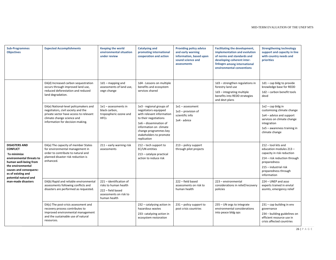| <b>Sub-Programmes</b><br><b>Objectives</b>                                                                                                                                                                | <b>Expected Accomplishments</b>                                                                                                                                                         | <b>Keeping the world</b><br>environmental situation<br>under review                                             | <b>Catalysing and</b><br>promoting international<br>cooperation and action                                                                                                                                                    | <b>Providing policy advice</b><br>and early warning<br>information, based upon<br>sound science and<br>assessments | <b>Facilitating the development,</b><br>implementation and evolution<br>of norms and standards and<br>developing coherent inter-<br>linkages among international<br>environmental conventions | <b>Strengthening technology</b><br>support and capacity in line<br>with country needs and<br>priorities                                                                                      |
|-----------------------------------------------------------------------------------------------------------------------------------------------------------------------------------------------------------|-----------------------------------------------------------------------------------------------------------------------------------------------------------------------------------------|-----------------------------------------------------------------------------------------------------------------|-------------------------------------------------------------------------------------------------------------------------------------------------------------------------------------------------------------------------------|--------------------------------------------------------------------------------------------------------------------|-----------------------------------------------------------------------------------------------------------------------------------------------------------------------------------------------|----------------------------------------------------------------------------------------------------------------------------------------------------------------------------------------------|
|                                                                                                                                                                                                           | EA(d) Increased carbon sequestration<br>occurs through improved land use,<br>reduced deforestation and reduced<br>land degradation.                                                     | $1d1 -$ mapping and<br>assessments of land use,<br>vegn change                                                  | 1d4 - Lessons on multiple<br>benefits and ecosystem<br>services shared                                                                                                                                                        |                                                                                                                    | 1d3 - strengthen regulations in<br>forestry land use<br>1d3 - integrating multiple<br>benefits into REDD strategies<br>and devt plans                                                         | $1d1 - cap$ bldg to provide<br>knowledge base for REDD<br>1d2 - carbon benefit tools<br>devd                                                                                                 |
|                                                                                                                                                                                                           | EA(e) National-level policymakers and<br>negotiators, civil society and the<br>private sector have access to relevant<br>climate change science and<br>information for decision-making. | $1e1 -$ assessments in<br>black carbon,<br>tropospheric ozone and<br><b>HFCs</b>                                | 1e3 - regional groups of<br>negotiators equipped<br>with relevant information<br>to their negotiations<br>1e6 - dissemination of<br>information on climate<br>change programmes key<br>stakeholders to promote<br>replication | $1e1 -$ assessment<br>$1e3$ – provision of<br>scientific info<br>1e4 - advice                                      |                                                                                                                                                                                               | $1e2 - cap b$ ldg in<br>customising climate change<br>1e4 – advice and support<br>services on climate change<br>integration<br>1e5 - awareness training in<br>climate change                 |
| <b>DISASTERS AND</b><br><b>CONFLICT</b><br>To minimize<br>environmental threats to<br>human well-being from<br>the environmental<br>causes and consequenc-<br>es of existing and<br>potential natural and | EA(a) The capacity of member States<br>for environmental management in<br>order to contribute to natural and<br>planned disaster risk reduction is<br>enhanced.                         | 211 - early warning risk<br>assessments                                                                         | $212$ – tech support to<br><b>EC/UN entities</b><br>213 - catalyze practical<br>action to reduce risk                                                                                                                         | $213$ – policy support<br>through pilot projects                                                                   |                                                                                                                                                                                               | 212 - tool kits and<br>education modules 213 -<br>capacity in risk reduction<br>214 - risk reduction through<br>preparedness<br>215 - industrial risk<br>preparedness through<br>information |
| man-made disasters                                                                                                                                                                                        | EA(b) Rapid and reliable environmental<br>assessments following conflicts and<br>disasters are performed as requested.                                                                  | 221 - identification of<br>risks to human health<br>222 - field based<br>assessments on risk to<br>human health |                                                                                                                                                                                                                               | 222 - field based<br>assessments on risk to<br>human health                                                        | 223 - environmental<br>considerations in relief/recovery<br>policies                                                                                                                          | 224 - UNEP and asso<br>experts trained in envtal<br>assmts, emergency relief                                                                                                                 |
|                                                                                                                                                                                                           | EA(c) The post-crisis assessment and<br>recovery process contributes to<br>improved environmental management<br>and the sustainable use of natural<br>resources.                        |                                                                                                                 | 232 - catalysing action in<br>hazardous wastes<br>233- catalyzing action in<br>ecosystem restoration                                                                                                                          | 231 - policy support to<br>post crisis countries                                                                   | 235 - UN orgs to integrate<br>environmental considerations<br>into peace bldg ops                                                                                                             | 231 - cap building in env<br>governance<br>234 - building guidelines on<br>efficient resource use in<br>crisis affected countries                                                            |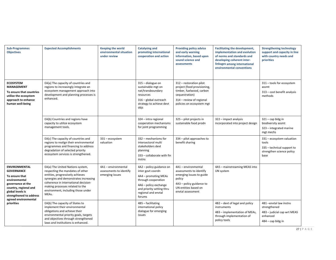| <b>Sub-Programmes</b><br><b>Objectives</b>                                                                                                                                | <b>Expected Accomplishments</b>                                                                                                                                                                                                                                             | <b>Keeping the world</b><br>environmental situation<br>under review | <b>Catalysing and</b><br>promoting international<br>cooperation and action                                                                                                          | <b>Providing policy advice</b><br>and early warning<br>information, based upon<br>sound science and<br><i>assessments</i>                                     | <b>Facilitating the development,</b><br>implementation and evolution<br>of norms and standards and<br>developing coherent inter-<br>linkages among international<br>environmental conventions | <b>Strengthening technology</b><br>support and capacity in line<br>with country needs and<br>priorities |
|---------------------------------------------------------------------------------------------------------------------------------------------------------------------------|-----------------------------------------------------------------------------------------------------------------------------------------------------------------------------------------------------------------------------------------------------------------------------|---------------------------------------------------------------------|-------------------------------------------------------------------------------------------------------------------------------------------------------------------------------------|---------------------------------------------------------------------------------------------------------------------------------------------------------------|-----------------------------------------------------------------------------------------------------------------------------------------------------------------------------------------------|---------------------------------------------------------------------------------------------------------|
| <b>ECOSYSTEM</b><br><b>MANAGEMENT</b><br>To ensure that countries<br>utilize the ecosystem<br>approach to enhance<br>human well-being                                     | EA(a) The capacity of countries and<br>regions to increasingly integrate an<br>ecosystem management approach into<br>development and planning processes is<br>enhanced.                                                                                                     |                                                                     | 315 - dialogue on<br>sustainable mgt on<br>nat/transboundary<br>resources<br>316 - global outreach<br>strategy to achieve devt<br>objs                                              | 312 - restoration pilot<br>project (food provisioning,<br>timber, fuelwood, carbon<br>sequestration)<br>314 - review of regional<br>policies on ecosystem mgt |                                                                                                                                                                                               | 311 - tools for ecosystem<br>assmt<br>313 - cost benefit analysis<br>methods                            |
|                                                                                                                                                                           | EA(b) Countries and regions have<br>capacity to utilize ecosystem<br>management tools.                                                                                                                                                                                      |                                                                     | 324 - intra regional<br>cooperation mechanisms<br>for joint programming                                                                                                             | 325 - pilot projects in<br>sustainable food prodn                                                                                                             | 322 - impact analysis<br>incorporated into project design                                                                                                                                     | $321 - cap$ bldg in<br>biodiversity assmt<br>323 - integrated marine<br>mgt mechs                       |
|                                                                                                                                                                           | EA(c) The capacity of countries and<br>regions to realign their environmental<br>programmes and financing to address<br>degradation of selected priority<br>ecosystem services is strengthened.                                                                             | 331 - ecosystem<br>valuation                                        | 332 - mechanisms for<br>intersectoral multi<br>stakeholders devt<br>planning<br>333 - collaborate with fin<br>instns                                                                | 334 - pilot approaches to<br>benefit sharing                                                                                                                  |                                                                                                                                                                                               | 331 - ecosystem valuation<br>tools<br>335 - technical support to<br>strengthen science policy<br>base   |
| <b>ENVIRONMENTAL</b><br><b>GOVERNANCE</b><br>To ensure that<br>environmental<br>governance at the<br>country, regional and<br>global levels is<br>strengthened to address | EA(a) The United Nations system,<br>respecting the mandates of other<br>entities, progressively achieves<br>synergies and demonstrates increasing<br>coherence in international decision-<br>making processes related to the<br>environment, including those under<br>MEAs. | 4A1 - environmental<br>assessments to identify<br>emerging issues   | 4A2 - policy guidance on<br>inter govt coordn<br>4A4 - promoting MEAs<br>through cooperation<br>4A6 - policy exchange<br>and priority setting thru<br>regional and envtal<br>forums | 4A1 - environmental<br>assessments to identify<br>emerging issues to guide<br>policy<br>4A3 - policy guidance to<br>UN entities based on<br>envtal assessment | 4A5 - mainstreaming MEAS into<br>UN system                                                                                                                                                    |                                                                                                         |
| agreed environmental<br>priorities                                                                                                                                        | EA(b) The capacity of States to<br>implement their environmental<br>obligations and achieve their<br>environmental priority goals, targets<br>and objectives through strengthened<br>laws and institutions is enhanced.                                                     |                                                                     | 4B5 - facilitating<br>international policy<br>dialogue for emerging<br>issues                                                                                                       |                                                                                                                                                               | 4B2 - devt of legal and policy<br>instruments<br>4B3 - implementation of MEAs,<br>through implementation of<br>policy tools                                                                   | 4B1-envtal law instns<br>strengthened<br>4B3 - judicial cap wrt MEAS<br>enhanced<br>4B4 - cap bldg in   |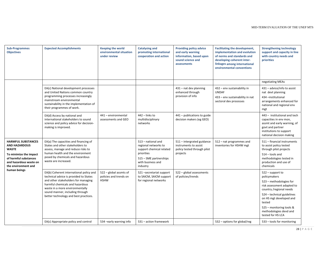| <b>Sub-Programmes</b><br><b>Objectives</b>                                                                                                                            | <b>Expected Accomplishments</b>                                                                                                                                                                                                                                            | <b>Keeping the world</b><br>environmental situation<br>under review | <b>Catalysing and</b><br>promoting international<br>cooperation and action                                                                      | <b>Providing policy advice</b><br>and early warning<br>information, based upon<br>sound science and<br>assessments | <b>Facilitating the development,</b><br>implementation and evolution<br>of norms and standards and<br>developing coherent inter-<br>linkages among international<br>environmental conventions | <b>Strengthening technology</b><br>support and capacity in line<br>with country needs and<br>priorities                                                                                                                                                              |
|-----------------------------------------------------------------------------------------------------------------------------------------------------------------------|----------------------------------------------------------------------------------------------------------------------------------------------------------------------------------------------------------------------------------------------------------------------------|---------------------------------------------------------------------|-------------------------------------------------------------------------------------------------------------------------------------------------|--------------------------------------------------------------------------------------------------------------------|-----------------------------------------------------------------------------------------------------------------------------------------------------------------------------------------------|----------------------------------------------------------------------------------------------------------------------------------------------------------------------------------------------------------------------------------------------------------------------|
|                                                                                                                                                                       |                                                                                                                                                                                                                                                                            |                                                                     |                                                                                                                                                 |                                                                                                                    |                                                                                                                                                                                               | negotiating MEAs                                                                                                                                                                                                                                                     |
|                                                                                                                                                                       | EA(c) National development processes<br>and United Nations common country<br>programming processes increasingly<br>mainstream environmental<br>sustainability in the implementation of<br>their programmes of work.                                                        |                                                                     |                                                                                                                                                 | 431 - nat dev planning<br>enhanced through<br>provision of info                                                    | 432 - env sustainability in<br><b>UNDAF</b><br>433 - env sustainability in nat<br>sectoral dev processes                                                                                      | 431 - advice/info to assist<br>nat devt planning<br>434 -institutional<br>arrangements enhanced for<br>national and regional env<br>mgt                                                                                                                              |
|                                                                                                                                                                       | EA(d) Access by national and<br>international stakeholders to sound<br>science and policy advice for decision-<br>making is improved.                                                                                                                                      | 441 - environmental<br>assessments and GEO                          | 442 - links to<br>multidisciplinary<br>networks                                                                                                 | 441 - publications to guide<br>decision makers (eg GEO)                                                            |                                                                                                                                                                                               | 443 - institutional and tech<br>capacities in env mon,<br>assmt and early warning, of<br>govt and partner<br>institutions to support<br>national decision making                                                                                                     |
| <b>HARMFUL SUBSTANCES</b><br><b>AND HAZARDOUS</b><br><b>WASTE</b><br>To minimize the impact<br>of harmful substances<br>and hazardous waste on<br>the environment and | EA(a) The capacities and financing of<br>States and other stakeholders to<br>assess, manage and reduce risks to<br>human health and the environment<br>posed by chemicals and hazardous<br>waste are increased.                                                            |                                                                     | 513 - national and<br>regional networks to<br>support chemical related<br>priorities<br>515 - SME partnerships<br>with business and<br>industry | 511 - intergrated guidance<br>instruments to assist<br>policy tested through pilot<br>projects                     | 512 - nat programmes and<br>inventories for HSHW mgt                                                                                                                                          | 511 - financial instruments<br>to assist policy tested<br>through pilot projects<br>514 - tools and<br>methodologies tested in<br>production and use of<br>chemicals                                                                                                 |
| human beings                                                                                                                                                          | EA(b) Coherent international policy and<br>technical advice is provided to States<br>and other stakeholders for managing<br>harmful chemicals and hazardous<br>waste in a more environmentally<br>sound manner, including through<br>better technology and best practices. | 522 - global assmts of<br>policies and trends on<br><b>HSHW</b>     | 521 -secretariat support<br>to SAICM, SAICM support<br>for regional networks                                                                    | 522 - global assessments<br>of policies/trends                                                                     |                                                                                                                                                                                               | $522 - support to$<br>policymakers<br>523 - methodologies for<br>risk assessment adapted to<br>country /regional needs<br>524 - technical guidelines<br>on HS mgt developed and<br>tested<br>525 - monitoring tools &<br>methodologies devd and<br>tested for HS LCA |
|                                                                                                                                                                       | EA(c) Appropriate policy and control                                                                                                                                                                                                                                       | 534 - early warning info                                            | 531 - action framework                                                                                                                          |                                                                                                                    | 532 - options for global/reg                                                                                                                                                                  | 533 - tools for monitoring                                                                                                                                                                                                                                           |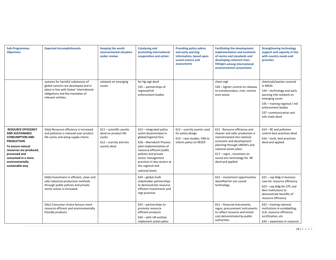| <b>Sub-Programmes</b><br><b>Objectives</b>                                                                                                                                                                                       | <b>Expected Accomplishments</b>                                                                                                                                               | <b>Keeping the world</b><br>environmental situation<br>under review                                    | <b>Catalysing and</b><br>promoting international<br>cooperation and action                                                                                                                                                                                                       | <b>Providing policy advice</b><br>and early warning<br>information, based upon<br>sound science and<br>assessments | <b>Facilitating the development,</b><br>implementation and evolution<br>of norms and standards and<br>developing coherent inter-<br>linkages among international<br>environmental conventions                                                                       | <b>Strengthening technology</b><br>support and capacity in line<br>with country needs and<br>priorities                                                                                                             |
|----------------------------------------------------------------------------------------------------------------------------------------------------------------------------------------------------------------------------------|-------------------------------------------------------------------------------------------------------------------------------------------------------------------------------|--------------------------------------------------------------------------------------------------------|----------------------------------------------------------------------------------------------------------------------------------------------------------------------------------------------------------------------------------------------------------------------------------|--------------------------------------------------------------------------------------------------------------------|---------------------------------------------------------------------------------------------------------------------------------------------------------------------------------------------------------------------------------------------------------------------|---------------------------------------------------------------------------------------------------------------------------------------------------------------------------------------------------------------------|
|                                                                                                                                                                                                                                  | systems for harmful substances of<br>global concern are developed and in<br>place in line with States' international<br>obligations and the mandates of<br>relevant entities. | network on emerging<br>issues                                                                          | for Hg mgt devd<br>535 - partnerships of<br>regional/intl<br>enforcement bodies                                                                                                                                                                                                  |                                                                                                                    | chem mgt<br>536 - tighter control on releases<br>to transboundary, river, marine<br>envt ozone                                                                                                                                                                      | chemicals/wastes covered<br>in MEAS<br>534 – technology and early<br>warning info network on<br>emerging issues<br>535 - training regional / intl<br>enforcement bodies<br>537-communication and<br>info matls devd |
| <b>RESOURCE EFFICIENCY</b><br><b>AND SUSTAINABLE</b><br><b>CONSUMPTION AND</b><br><b>PRODUCTION</b><br>To ensure natural<br>resources are produced,<br>processed and<br>consumed in a more<br>environmentally<br>sustainable way | EA(a) Resource efficiency is increased<br>and pollution is reduced over product<br>life cycles and along supply chains.                                                       | $611 -$ scientific assmts<br>devd on product life<br>cycles<br>$612$ – scarcity and env<br>assmts devd | $613$ – integrated policy<br>assmt disseminated in<br>global/regional fora<br>618 - Marrakech Process<br>pilot implementation of<br>resource efficient public<br>policies and private<br>sector management<br>practices in key sectors at<br>the regional and<br>national levels | $612$ - scarcity assmts used<br>for policy design<br>613 - case studies, CBA to<br>inform policy on RESCP          | 615 - Resource efficiency and<br>cleaner and safer production is<br>mainstreamed into national<br>economic and development<br>planning through UNDAFs and<br>national action plans<br>617 - regns, incentives on<br>sound env technology for RE<br>devd and applied | 614 - RE and pollution<br>control best practices devd<br>616 - tools, best practices<br>devd and applied                                                                                                            |
|                                                                                                                                                                                                                                  | EA(b) Investment in efficient, clean and<br>safe industrial production methods<br>through public policies and private<br>sector action is increased.                          |                                                                                                        | 624 - global multi<br>stakeholder partnerships<br>to demonstrate resource<br>efficient investments and<br>mgt practices                                                                                                                                                          |                                                                                                                    | 622 - investment opportunities<br>identified for env sound<br>technology                                                                                                                                                                                            | $621 - cap$ bldg in business<br>case for resource efficiency<br>623 - cap bldg for CPC and<br>devt institutions to<br>demonstrate benefits of<br>resource efficiency                                                |
|                                                                                                                                                                                                                                  | EA(c) Consumer choice favours more<br>resource efficient and environmentally<br>friendly products.                                                                            |                                                                                                        | $633$ - partnerships to<br>promote resource<br>efficient products<br>634 - with UN entities<br>implement action plans                                                                                                                                                            |                                                                                                                    | 631 - financial instruments,<br>regns, procurement instruments<br>to reflect resource and envtal<br>cost demonstrated by public<br>authorities                                                                                                                      | 632 - training national<br>institutions in ecolabelling,<br>LCA, resource efficiency<br>certification, etc<br>633 - awareness in resource                                                                           |